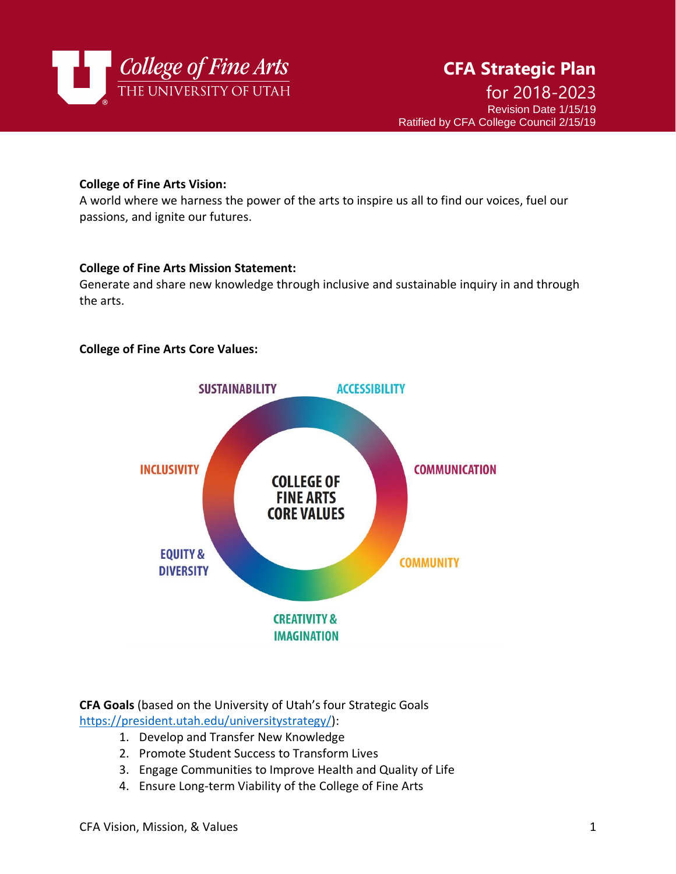

### **College of Fine Arts Vision:**

A world where we harness the power of the arts to inspire us all to find our voices, fuel our passions, and ignite our futures.

### **College of Fine Arts Mission Statement:**

Generate and share new knowledge through inclusive and sustainable inquiry in and through the arts.

### **College of Fine Arts Core Values:**



**CFA Goals** (based on the University of Utah's four Strategic Goals [https://president.utah.edu/universitystrategy/\)](https://president.utah.edu/universitystrategy/):

- 1. Develop and Transfer New Knowledge
- 2. Promote Student Success to Transform Lives
- 3. Engage Communities to Improve Health and Quality of Life
- 4. Ensure Long-term Viability of the College of Fine Arts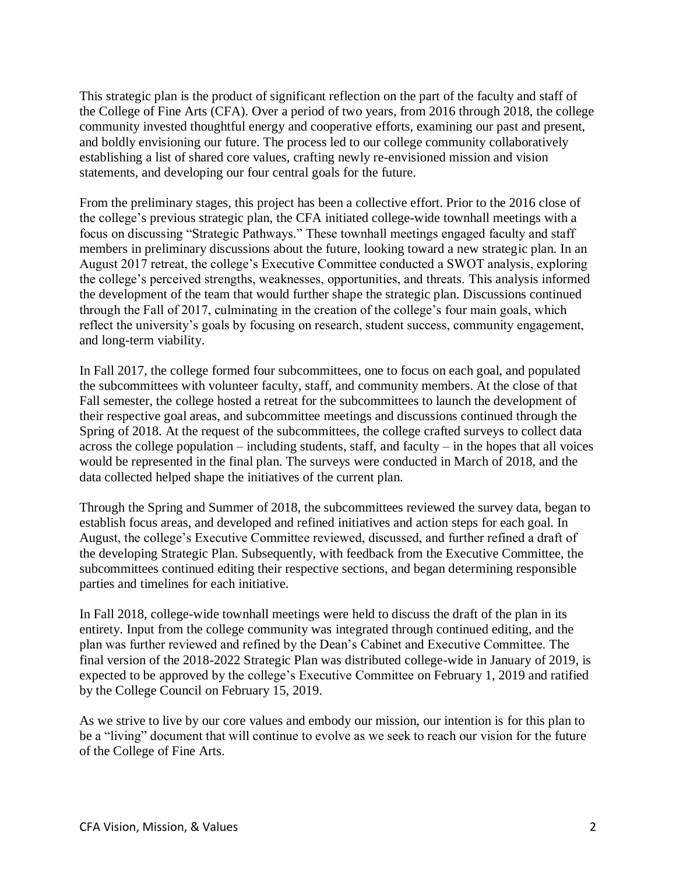This strategic plan is the product of significant reflection on the part of the faculty and staff of the College of Fine Arts (CFA). Over a period of two years, from 2016 through 2018, the college community invested thoughtful energy and cooperative efforts, examining our past and present, and boldly envisioning our future. The process led to our college community collaboratively establishing a list of shared core values, crafting newly re-envisioned mission and vision statements, and developing our four central goals for the future.

From the preliminary stages, this project has been a collective effort. Prior to the 2016 close of the college's previous strategic plan, the CFA initiated college-wide townhall meetings with a focus on discussing "Strategic Pathways." These townhall meetings engaged faculty and staff members in preliminary discussions about the future, looking toward a new strategic plan. In an August 2017 retreat, the college's Executive Committee conducted a SWOT analysis, exploring the college's perceived strengths, weaknesses, opportunities, and threats. This analysis informed the development of the team that would further shape the strategic plan. Discussions continued through the Fall of 2017, culminating in the creation of the college's four main goals, which reflect the university's goals by focusing on research, student success, community engagement, and long-term viability.

In Fall 2017, the college formed four subcommittees, one to focus on each goal, and populated the subcommittees with volunteer faculty, staff, and community members. At the close of that Fall semester, the college hosted a retreat for the subcommittees to launch the development of their respective goal areas, and subcommittee meetings and discussions continued through the Spring of 2018. At the request of the subcommittees, the college crafted surveys to collect data across the college population – including students, staff, and faculty – in the hopes that all voices would be represented in the final plan. The surveys were conducted in March of 2018, and the data collected helped shape the initiatives of the current plan.

Through the Spring and Summer of 2018, the subcommittees reviewed the survey data, began to establish focus areas, and developed and refined initiatives and action steps for each goal. In August, the college's Executive Committee reviewed, discussed, and further refined a draft of the developing Strategic Plan. Subsequently, with feedback from the Executive Committee, the subcommittees continued editing their respective sections, and began determining responsible parties and timelines for each initiative.

In Fall 2018, college-wide townhall meetings were held to discuss the draft of the plan in its entirety. Input from the college community was integrated through continued editing, and the plan was further reviewed and refined by the Dean's Cabinet and Executive Committee. The final version of the 2018-2022 Strategic Plan was distributed college-wide in January of 2019, is expected to be approved by the college's Executive Committee on February 1, 2019 and ratified by the College Council on February 15, 2019.

As we strive to live by our core values and embody our mission, our intention is for this plan to be a "living" document that will continue to evolve as we seek to reach our vision for the future of the College of Fine Arts.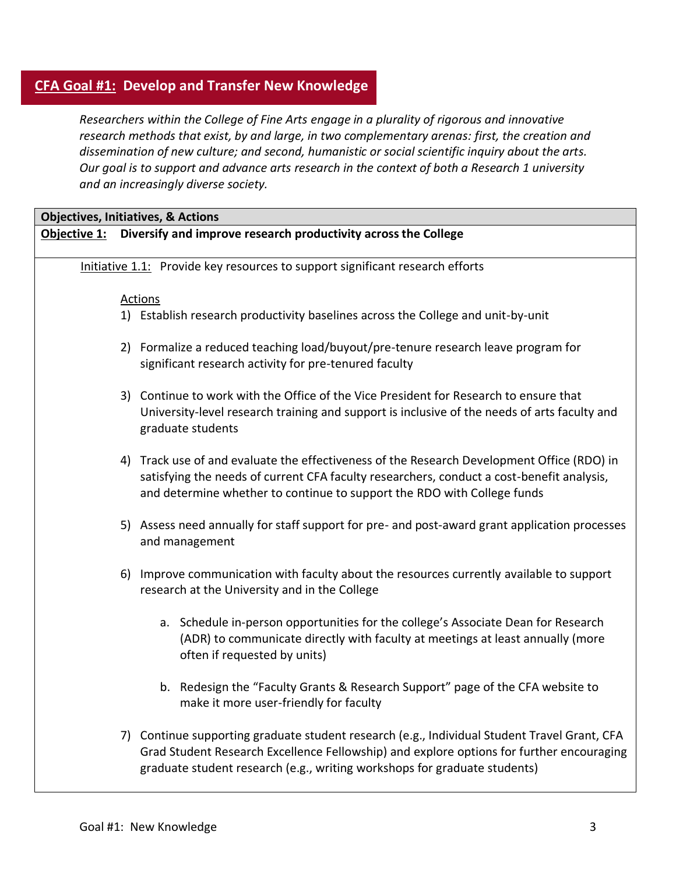# **CFA Goal #1: Develop and Transfer New Knowledge**

*Researchers within the College of Fine Arts engage in a plurality of rigorous and innovative research methods that exist, by and large, in two complementary arenas: first, the creation and dissemination of new culture; and second, humanistic or social scientific inquiry about the arts. Our goal is to support and advance arts research in the context of both a Research 1 university and an increasingly diverse society.*

| <b>Objectives, Initiatives, &amp; Actions</b> |                                                                                                                                                                                                                                                                       |  |  |
|-----------------------------------------------|-----------------------------------------------------------------------------------------------------------------------------------------------------------------------------------------------------------------------------------------------------------------------|--|--|
|                                               | Objective 1: Diversify and improve research productivity across the College                                                                                                                                                                                           |  |  |
|                                               | Initiative 1.1: Provide key resources to support significant research efforts                                                                                                                                                                                         |  |  |
|                                               |                                                                                                                                                                                                                                                                       |  |  |
|                                               | Actions                                                                                                                                                                                                                                                               |  |  |
|                                               | 1) Establish research productivity baselines across the College and unit-by-unit                                                                                                                                                                                      |  |  |
|                                               | 2) Formalize a reduced teaching load/buyout/pre-tenure research leave program for<br>significant research activity for pre-tenured faculty                                                                                                                            |  |  |
|                                               | 3) Continue to work with the Office of the Vice President for Research to ensure that<br>University-level research training and support is inclusive of the needs of arts faculty and<br>graduate students                                                            |  |  |
|                                               | 4) Track use of and evaluate the effectiveness of the Research Development Office (RDO) in<br>satisfying the needs of current CFA faculty researchers, conduct a cost-benefit analysis,<br>and determine whether to continue to support the RDO with College funds    |  |  |
|                                               | 5) Assess need annually for staff support for pre- and post-award grant application processes<br>and management                                                                                                                                                       |  |  |
| 6)                                            | Improve communication with faculty about the resources currently available to support<br>research at the University and in the College                                                                                                                                |  |  |
|                                               | a. Schedule in-person opportunities for the college's Associate Dean for Research<br>(ADR) to communicate directly with faculty at meetings at least annually (more<br>often if requested by units)                                                                   |  |  |
|                                               | b. Redesign the "Faculty Grants & Research Support" page of the CFA website to<br>make it more user-friendly for faculty                                                                                                                                              |  |  |
|                                               | 7) Continue supporting graduate student research (e.g., Individual Student Travel Grant, CFA<br>Grad Student Research Excellence Fellowship) and explore options for further encouraging<br>graduate student research (e.g., writing workshops for graduate students) |  |  |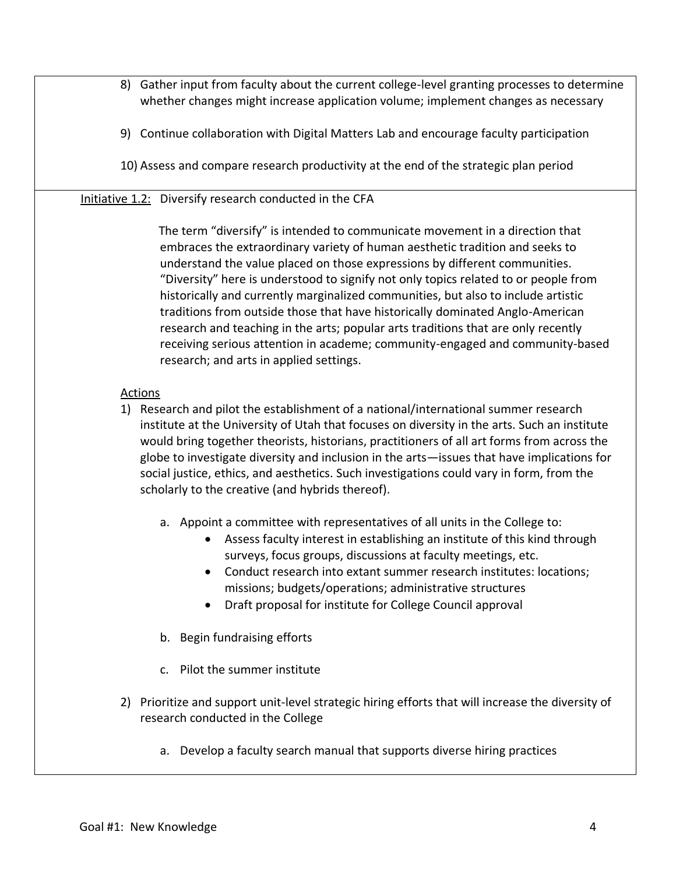- 8) Gather input from faculty about the current college-level granting processes to determine whether changes might increase application volume; implement changes as necessary
- 9) Continue collaboration with Digital Matters Lab and encourage faculty participation
- 10) Assess and compare research productivity at the end of the strategic plan period

## Initiative 1.2: Diversify research conducted in the CFA

The term "diversify" is intended to communicate movement in a direction that embraces the extraordinary variety of human aesthetic tradition and seeks to understand the value placed on those expressions by different communities. "Diversity" here is understood to signify not only topics related to or people from historically and currently marginalized communities, but also to include artistic traditions from outside those that have historically dominated Anglo-American research and teaching in the arts; popular arts traditions that are only recently receiving serious attention in academe; community-engaged and community-based research; and arts in applied settings.

- 1) Research and pilot the establishment of a national/international summer research institute at the University of Utah that focuses on diversity in the arts. Such an institute would bring together theorists, historians, practitioners of all art forms from across the globe to investigate diversity and inclusion in the arts—issues that have implications for social justice, ethics, and aesthetics. Such investigations could vary in form, from the scholarly to the creative (and hybrids thereof).
	- a. Appoint a committee with representatives of all units in the College to:
		- Assess faculty interest in establishing an institute of this kind through surveys, focus groups, discussions at faculty meetings, etc.
		- Conduct research into extant summer research institutes: locations; missions; budgets/operations; administrative structures
		- Draft proposal for institute for College Council approval
	- b. Begin fundraising efforts
	- c. Pilot the summer institute
- 2) Prioritize and support unit-level strategic hiring efforts that will increase the diversity of research conducted in the College
	- a. Develop a faculty search manual that supports diverse hiring practices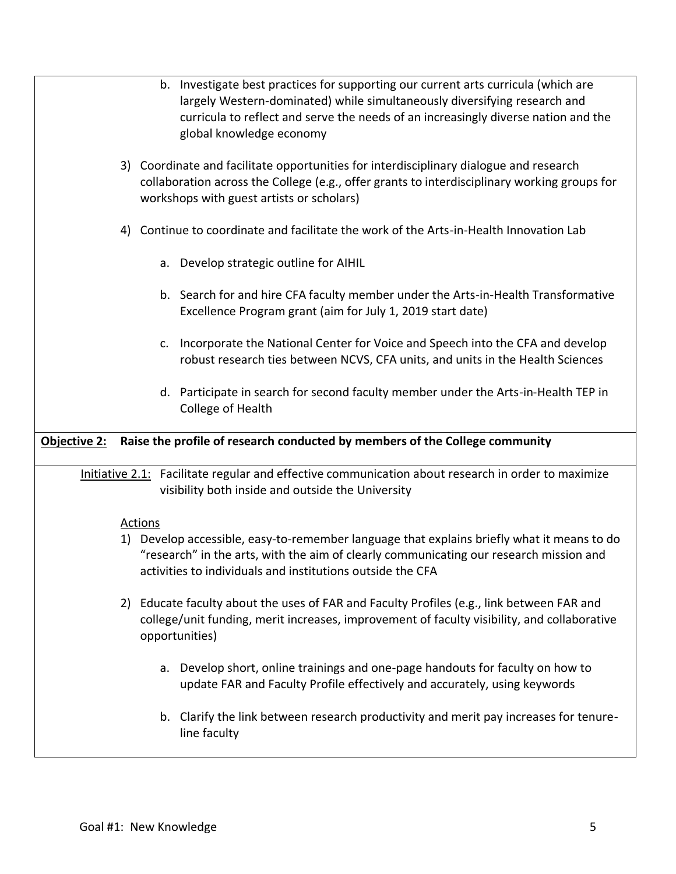|                     |    | b. Investigate best practices for supporting our current arts curricula (which are<br>largely Western-dominated) while simultaneously diversifying research and<br>curricula to reflect and serve the needs of an increasingly diverse nation and the<br>global knowledge economy |
|---------------------|----|-----------------------------------------------------------------------------------------------------------------------------------------------------------------------------------------------------------------------------------------------------------------------------------|
|                     |    | 3) Coordinate and facilitate opportunities for interdisciplinary dialogue and research<br>collaboration across the College (e.g., offer grants to interdisciplinary working groups for<br>workshops with guest artists or scholars)                                               |
|                     | 4) | Continue to coordinate and facilitate the work of the Arts-in-Health Innovation Lab                                                                                                                                                                                               |
|                     |    | a. Develop strategic outline for AIHIL                                                                                                                                                                                                                                            |
|                     |    | b. Search for and hire CFA faculty member under the Arts-in-Health Transformative<br>Excellence Program grant (aim for July 1, 2019 start date)                                                                                                                                   |
|                     |    | Incorporate the National Center for Voice and Speech into the CFA and develop<br>c.<br>robust research ties between NCVS, CFA units, and units in the Health Sciences                                                                                                             |
|                     |    | d. Participate in search for second faculty member under the Arts-in-Health TEP in<br>College of Health                                                                                                                                                                           |
|                     |    |                                                                                                                                                                                                                                                                                   |
| <b>Objective 2:</b> |    | Raise the profile of research conducted by members of the College community                                                                                                                                                                                                       |
|                     |    | Initiative 2.1: Facilitate regular and effective communication about research in order to maximize<br>visibility both inside and outside the University                                                                                                                           |
|                     | 1) | <b>Actions</b><br>Develop accessible, easy-to-remember language that explains briefly what it means to do<br>"research" in the arts, with the aim of clearly communicating our research mission and<br>activities to individuals and institutions outside the CFA                 |
|                     |    | 2) Educate faculty about the uses of FAR and Faculty Profiles (e.g., link between FAR and<br>college/unit funding, merit increases, improvement of faculty visibility, and collaborative<br>opportunities)                                                                        |
|                     |    | a. Develop short, online trainings and one-page handouts for faculty on how to<br>update FAR and Faculty Profile effectively and accurately, using keywords                                                                                                                       |
|                     |    | b. Clarify the link between research productivity and merit pay increases for tenure-<br>line faculty                                                                                                                                                                             |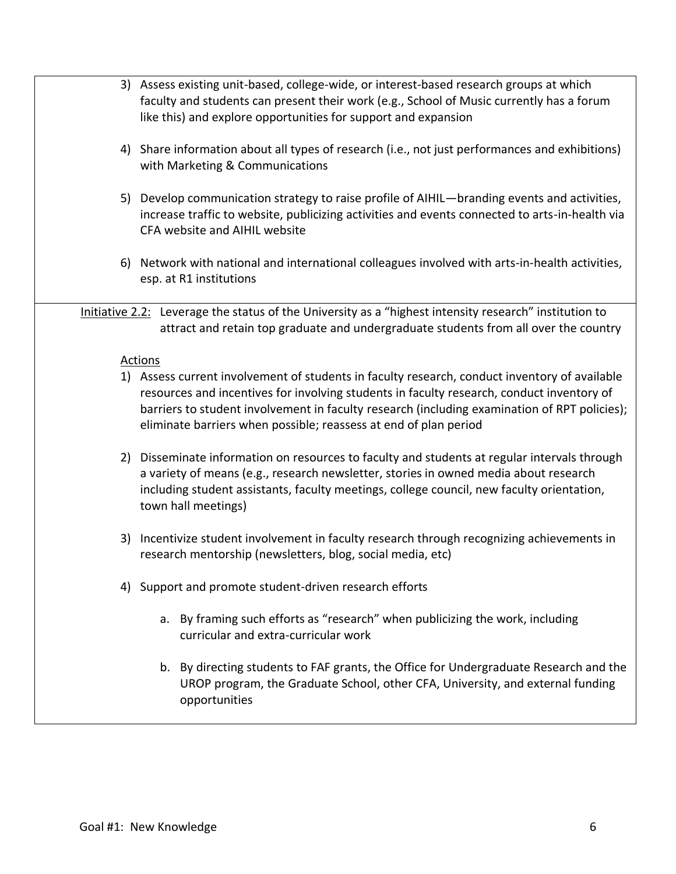- 3) Assess existing unit-based, college-wide, or interest-based research groups at which faculty and students can present their work (e.g., School of Music currently has a forum like this) and explore opportunities for support and expansion
- 4) Share information about all types of research (i.e., not just performances and exhibitions) with Marketing & Communications
- 5) Develop communication strategy to raise profile of AIHIL—branding events and activities, increase traffic to website, publicizing activities and events connected to arts-in-health via CFA website and AIHIL website
- 6) Network with national and international colleagues involved with arts-in-health activities, esp. at R1 institutions

Initiative 2.2: Leverage the status of the University as a "highest intensity research" institution to attract and retain top graduate and undergraduate students from all over the country

- 1) Assess current involvement of students in faculty research, conduct inventory of available resources and incentives for involving students in faculty research, conduct inventory of barriers to student involvement in faculty research (including examination of RPT policies); eliminate barriers when possible; reassess at end of plan period
- 2) Disseminate information on resources to faculty and students at regular intervals through a variety of means (e.g., research newsletter, stories in owned media about research including student assistants, faculty meetings, college council, new faculty orientation, town hall meetings)
- 3) Incentivize student involvement in faculty research through recognizing achievements in research mentorship (newsletters, blog, social media, etc)
- 4) Support and promote student-driven research efforts
	- a. By framing such efforts as "research" when publicizing the work, including curricular and extra-curricular work
	- b. By directing students to FAF grants, the Office for Undergraduate Research and the UROP program, the Graduate School, other CFA, University, and external funding opportunities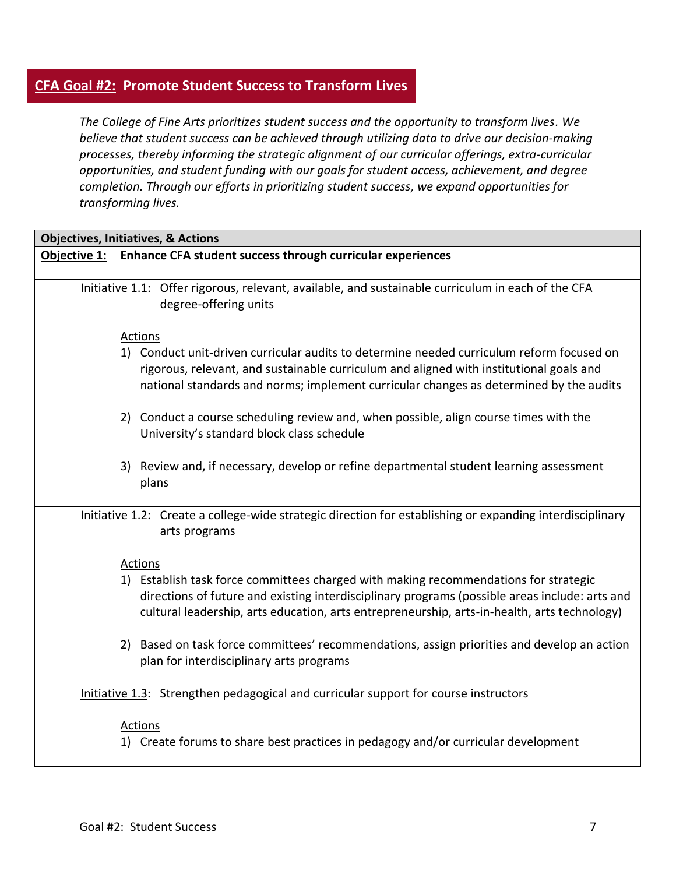# **CFA Goal #2: Promote Student Success to Transform Lives**

*The College of Fine Arts prioritizes student success and the opportunity to transform lives. We believe that student success can be achieved through utilizing data to drive our decision-making processes, thereby informing the strategic alignment of our curricular offerings, extra-curricular opportunities, and student funding with our goals for student access, achievement, and degree completion. Through our efforts in prioritizing student success, we expand opportunities for transforming lives.*

| <b>Objectives, Initiatives, &amp; Actions</b>                                                                                                                                                                                                                                          |  |
|----------------------------------------------------------------------------------------------------------------------------------------------------------------------------------------------------------------------------------------------------------------------------------------|--|
| Objective 1: Enhance CFA student success through curricular experiences                                                                                                                                                                                                                |  |
| Initiative 1.1: Offer rigorous, relevant, available, and sustainable curriculum in each of the CFA<br>degree-offering units                                                                                                                                                            |  |
| <b>Actions</b>                                                                                                                                                                                                                                                                         |  |
| 1) Conduct unit-driven curricular audits to determine needed curriculum reform focused on<br>rigorous, relevant, and sustainable curriculum and aligned with institutional goals and<br>national standards and norms; implement curricular changes as determined by the audits         |  |
| 2) Conduct a course scheduling review and, when possible, align course times with the<br>University's standard block class schedule                                                                                                                                                    |  |
| 3) Review and, if necessary, develop or refine departmental student learning assessment<br>plans                                                                                                                                                                                       |  |
| Initiative 1.2: Create a college-wide strategic direction for establishing or expanding interdisciplinary<br>arts programs                                                                                                                                                             |  |
| Actions                                                                                                                                                                                                                                                                                |  |
| 1) Establish task force committees charged with making recommendations for strategic<br>directions of future and existing interdisciplinary programs (possible areas include: arts and<br>cultural leadership, arts education, arts entrepreneurship, arts-in-health, arts technology) |  |
| 2) Based on task force committees' recommendations, assign priorities and develop an action<br>plan for interdisciplinary arts programs                                                                                                                                                |  |
| Initiative 1.3: Strengthen pedagogical and curricular support for course instructors                                                                                                                                                                                                   |  |
| <b>Actions</b><br>1) Create forums to share best practices in pedagogy and/or curricular development                                                                                                                                                                                   |  |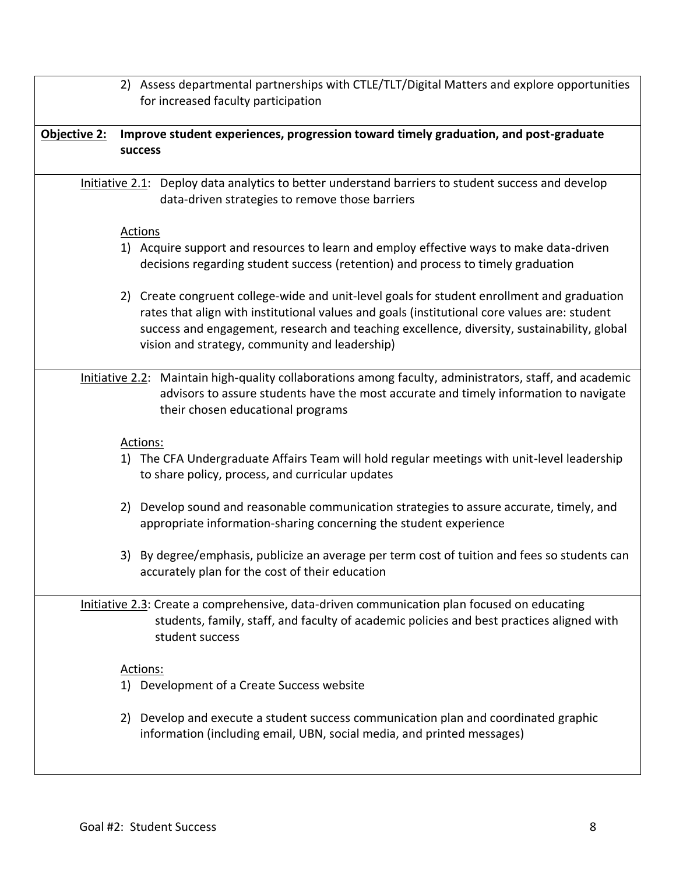2) Assess departmental partnerships with CTLE/TLT/Digital Matters and explore opportunities for increased faculty participation **Objective 2: Improve student experiences, progression toward timely graduation, and post-graduate success**  Initiative 2.1: Deploy data analytics to better understand barriers to student success and develop data-driven strategies to remove those barriers Actions 1) Acquire support and resources to learn and employ effective ways to make data-driven decisions regarding student success (retention) and process to timely graduation 2) Create congruent college-wide and unit-level goals for student enrollment and graduation rates that align with institutional values and goals (institutional core values are: student success and engagement, research and teaching excellence, diversity, sustainability, global vision and strategy, community and leadership) Initiative 2.2: Maintain high-quality collaborations among faculty, administrators, staff, and academic advisors to assure students have the most accurate and timely information to navigate their chosen educational programs Actions: 1) The CFA Undergraduate Affairs Team will hold regular meetings with unit-level leadership to share policy, process, and curricular updates 2) Develop sound and reasonable communication strategies to assure accurate, timely, and appropriate information-sharing concerning the student experience 3) By degree/emphasis, publicize an average per term cost of tuition and fees so students can accurately plan for the cost of their education Initiative 2.3: Create a comprehensive, data-driven communication plan focused on educating students, family, staff, and faculty of academic policies and best practices aligned with student success Actions: 1) Development of a Create Success website 2) Develop and execute a student success communication plan and coordinated graphic information (including email, UBN, social media, and printed messages)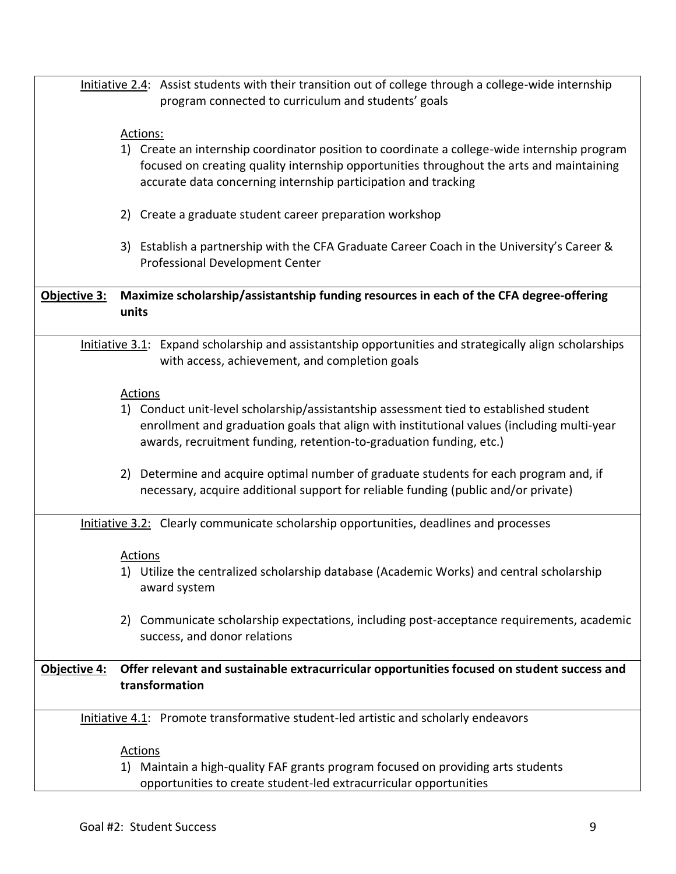|                     | Initiative 2.4: Assist students with their transition out of college through a college-wide internship<br>program connected to curriculum and students' goals                                                                                               |
|---------------------|-------------------------------------------------------------------------------------------------------------------------------------------------------------------------------------------------------------------------------------------------------------|
|                     |                                                                                                                                                                                                                                                             |
|                     | Actions:                                                                                                                                                                                                                                                    |
|                     | 1) Create an internship coordinator position to coordinate a college-wide internship program<br>focused on creating quality internship opportunities throughout the arts and maintaining<br>accurate data concerning internship participation and tracking  |
|                     | 2) Create a graduate student career preparation workshop                                                                                                                                                                                                    |
|                     | 3) Establish a partnership with the CFA Graduate Career Coach in the University's Career &<br>Professional Development Center                                                                                                                               |
| <b>Objective 3:</b> | Maximize scholarship/assistantship funding resources in each of the CFA degree-offering<br>units                                                                                                                                                            |
|                     | Initiative 3.1: Expand scholarship and assistantship opportunities and strategically align scholarships<br>with access, achievement, and completion goals                                                                                                   |
|                     | Actions                                                                                                                                                                                                                                                     |
|                     | 1) Conduct unit-level scholarship/assistantship assessment tied to established student<br>enrollment and graduation goals that align with institutional values (including multi-year<br>awards, recruitment funding, retention-to-graduation funding, etc.) |
|                     | 2) Determine and acquire optimal number of graduate students for each program and, if<br>necessary, acquire additional support for reliable funding (public and/or private)                                                                                 |
|                     | Initiative 3.2: Clearly communicate scholarship opportunities, deadlines and processes                                                                                                                                                                      |
|                     | Actions<br>1) Utilize the centralized scholarship database (Academic Works) and central scholarship<br>award system                                                                                                                                         |
|                     | 2) Communicate scholarship expectations, including post-acceptance requirements, academic<br>success, and donor relations                                                                                                                                   |
| <b>Objective 4:</b> | Offer relevant and sustainable extracurricular opportunities focused on student success and                                                                                                                                                                 |
|                     | transformation                                                                                                                                                                                                                                              |
|                     | Initiative 4.1: Promote transformative student-led artistic and scholarly endeavors                                                                                                                                                                         |
|                     | <b>Actions</b>                                                                                                                                                                                                                                              |
|                     | 1) Maintain a high-quality FAF grants program focused on providing arts students                                                                                                                                                                            |
|                     | opportunities to create student-led extracurricular opportunities                                                                                                                                                                                           |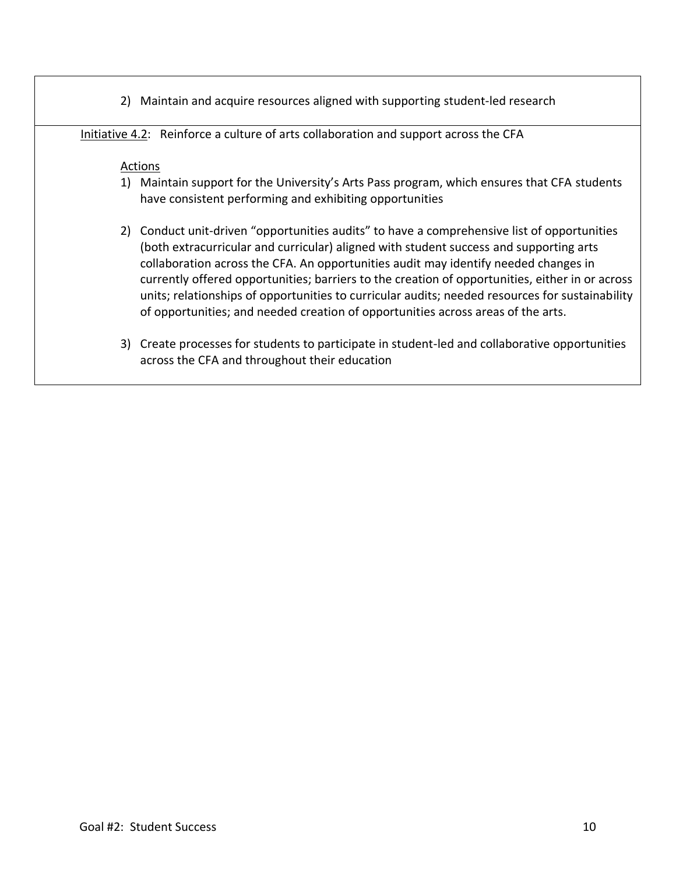2) Maintain and acquire resources aligned with supporting student-led research

Initiative 4.2: Reinforce a culture of arts collaboration and support across the CFA

- 1) Maintain support for the University's Arts Pass program, which ensures that CFA students have consistent performing and exhibiting opportunities
- 2) Conduct unit-driven "opportunities audits" to have a comprehensive list of opportunities (both extracurricular and curricular) aligned with student success and supporting arts collaboration across the CFA. An opportunities audit may identify needed changes in currently offered opportunities; barriers to the creation of opportunities, either in or across units; relationships of opportunities to curricular audits; needed resources for sustainability of opportunities; and needed creation of opportunities across areas of the arts.
- 3) Create processes for students to participate in student-led and collaborative opportunities across the CFA and throughout their education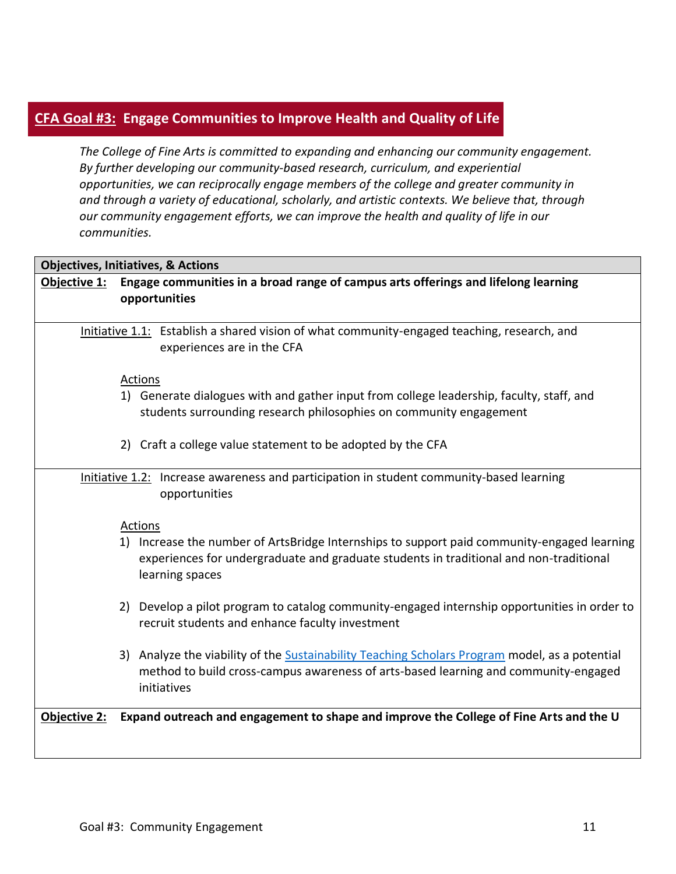# **CFA Goal #3: Engage Communities to Improve Health and Quality of Life**

*The College of Fine Arts is committed to expanding and enhancing our community engagement. By further developing our community-based research, curriculum, and experiential opportunities, we can reciprocally engage members of the college and greater community in and through a variety of educational, scholarly, and artistic contexts. We believe that, through our community engagement efforts, we can improve the health and quality of life in our communities.*

|              | <b>Objectives, Initiatives, &amp; Actions</b>                                                                                                                                                            |
|--------------|----------------------------------------------------------------------------------------------------------------------------------------------------------------------------------------------------------|
| Objective 1: | Engage communities in a broad range of campus arts offerings and lifelong learning                                                                                                                       |
|              | opportunities                                                                                                                                                                                            |
|              |                                                                                                                                                                                                          |
|              | Initiative 1.1: Establish a shared vision of what community-engaged teaching, research, and<br>experiences are in the CFA                                                                                |
|              | Actions                                                                                                                                                                                                  |
|              | 1) Generate dialogues with and gather input from college leadership, faculty, staff, and<br>students surrounding research philosophies on community engagement                                           |
|              | 2) Craft a college value statement to be adopted by the CFA                                                                                                                                              |
|              | Initiative 1.2: Increase awareness and participation in student community-based learning<br>opportunities                                                                                                |
|              | Actions                                                                                                                                                                                                  |
|              | 1) Increase the number of ArtsBridge Internships to support paid community-engaged learning<br>experiences for undergraduate and graduate students in traditional and non-traditional<br>learning spaces |
|              | 2) Develop a pilot program to catalog community-engaged internship opportunities in order to<br>recruit students and enhance faculty investment                                                          |
|              | 3) Analyze the viability of the Sustainability Teaching Scholars Program model, as a potential<br>method to build cross-campus awareness of arts-based learning and community-engaged<br>initiatives     |
| Objective 2: | Expand outreach and engagement to shape and improve the College of Fine Arts and the U                                                                                                                   |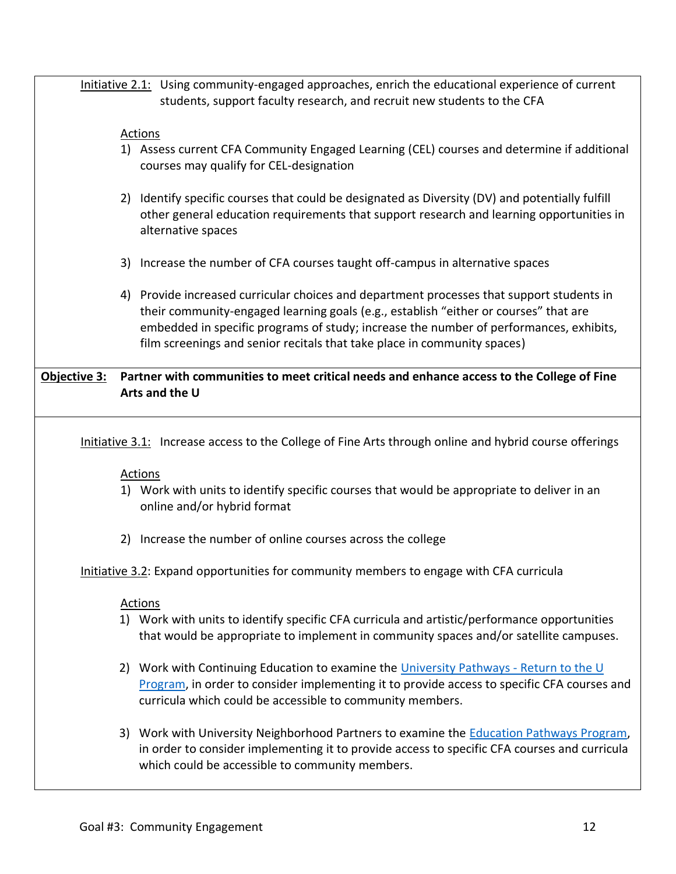Initiative 2.1: Using community-engaged approaches, enrich the educational experience of current students, support faculty research, and recruit new students to the CFA

### Actions

- 1) Assess current CFA Community Engaged Learning (CEL) courses and determine if additional courses may qualify for CEL-designation
- 2) Identify specific courses that could be designated as Diversity (DV) and potentially fulfill other general education requirements that support research and learning opportunities in alternative spaces
- 3) Increase the number of CFA courses taught off-campus in alternative spaces
- 4) Provide increased curricular choices and department processes that support students in their community-engaged learning goals (e.g., establish "either or courses" that are embedded in specific programs of study; increase the number of performances, exhibits, film screenings and senior recitals that take place in community spaces)

## **Objective 3: Partner with communities to meet critical needs and enhance access to the College of Fine Arts and the U**

Initiative 3.1: Increase access to the College of Fine Arts through online and hybrid course offerings

### Actions

- 1) Work with units to identify specific courses that would be appropriate to deliver in an online and/or hybrid format
- 2) Increase the number of online courses across the college

Initiative 3.2: Expand opportunities for community members to engage with CFA curricula

- 1) Work with units to identify specific CFA curricula and artistic/performance opportunities that would be appropriate to implement in community spaces and/or satellite campuses.
- 2) Work with Continuing Education to examine the [University Pathways](https://continue.utah.edu/) Return to the U [Program,](https://continue.utah.edu/) in order to consider implementing it to provide access to specific CFA courses and curricula which could be accessible to community members.
- 3) Work with University Neighborhood Partners to examine the [Education Pathways Program,](https://partners.utah.edu/partnerships-areas/education-pathways/) in order to consider implementing it to provide access to specific CFA courses and curricula which could be accessible to community members.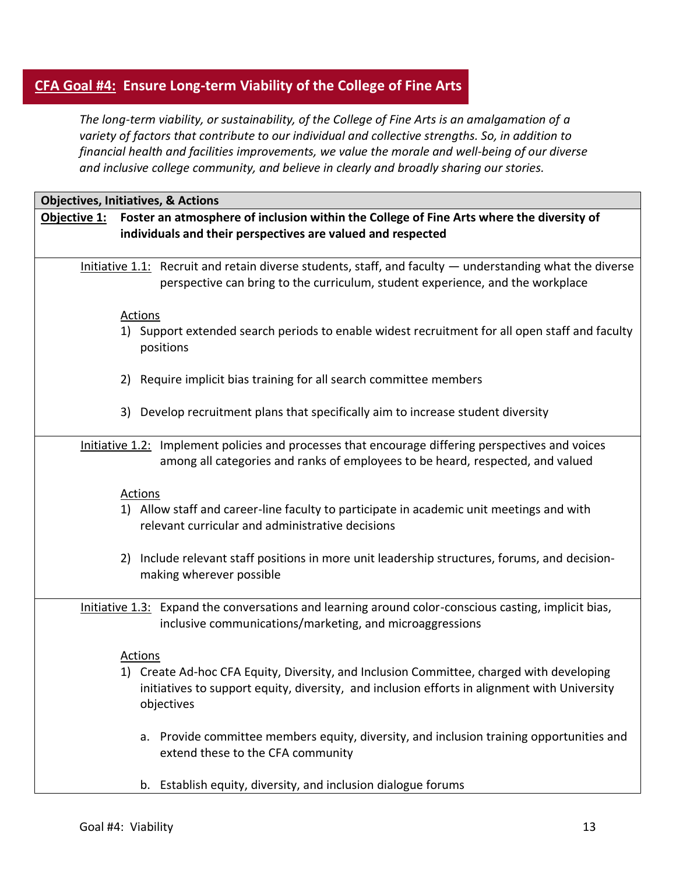# **CFA Goal #4: Ensure Long-term Viability of the College of Fine Arts**

*The long-term viability, or sustainability, of the College of Fine Arts is an amalgamation of a variety of factors that contribute to our individual and collective strengths. So, in addition to financial health and facilities improvements, we value the morale and well-being of our diverse and inclusive college community, and believe in clearly and broadly sharing our stories.*

|              | <b>Objectives, Initiatives, &amp; Actions</b>                                                                                                                                                   |
|--------------|-------------------------------------------------------------------------------------------------------------------------------------------------------------------------------------------------|
| Objective 1: | Foster an atmosphere of inclusion within the College of Fine Arts where the diversity of<br>individuals and their perspectives are valued and respected                                         |
|              | Initiative $1.1$ : Recruit and retain diverse students, staff, and faculty $-$ understanding what the diverse<br>perspective can bring to the curriculum, student experience, and the workplace |
|              | <b>Actions</b>                                                                                                                                                                                  |
|              | 1) Support extended search periods to enable widest recruitment for all open staff and faculty<br>positions                                                                                     |
|              | 2) Require implicit bias training for all search committee members                                                                                                                              |
|              | 3) Develop recruitment plans that specifically aim to increase student diversity                                                                                                                |
|              | Initiative 1.2: Implement policies and processes that encourage differing perspectives and voices<br>among all categories and ranks of employees to be heard, respected, and valued             |
|              | <b>Actions</b>                                                                                                                                                                                  |
|              | 1) Allow staff and career-line faculty to participate in academic unit meetings and with<br>relevant curricular and administrative decisions                                                    |
|              | 2) Include relevant staff positions in more unit leadership structures, forums, and decision-<br>making wherever possible                                                                       |
|              | Initiative 1.3: Expand the conversations and learning around color-conscious casting, implicit bias,<br>inclusive communications/marketing, and microaggressions                                |
|              | Actions                                                                                                                                                                                         |
|              | 1) Create Ad-hoc CFA Equity, Diversity, and Inclusion Committee, charged with developing                                                                                                        |
|              | initiatives to support equity, diversity, and inclusion efforts in alignment with University<br>objectives                                                                                      |
|              | a. Provide committee members equity, diversity, and inclusion training opportunities and<br>extend these to the CFA community                                                                   |
|              | b. Establish equity, diversity, and inclusion dialogue forums                                                                                                                                   |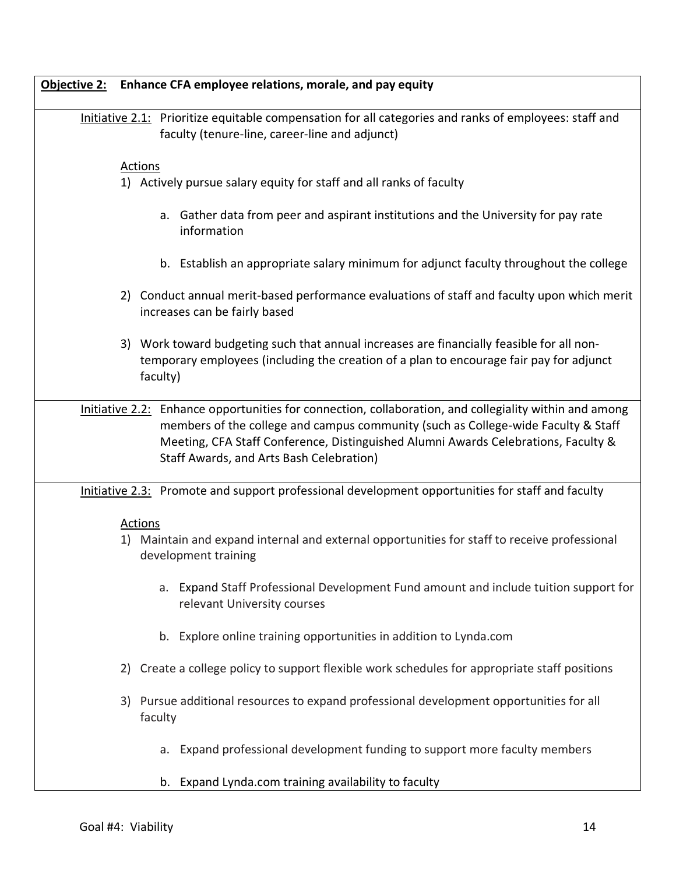| <b>Objective 2:</b><br>Enhance CFA employee relations, morale, and pay equity                                                                                                                                                                                                                                                 |  |
|-------------------------------------------------------------------------------------------------------------------------------------------------------------------------------------------------------------------------------------------------------------------------------------------------------------------------------|--|
| Initiative 2.1: Prioritize equitable compensation for all categories and ranks of employees: staff and<br>faculty (tenure-line, career-line and adjunct)                                                                                                                                                                      |  |
| <b>Actions</b><br>1) Actively pursue salary equity for staff and all ranks of faculty                                                                                                                                                                                                                                         |  |
| a. Gather data from peer and aspirant institutions and the University for pay rate<br>information                                                                                                                                                                                                                             |  |
| b. Establish an appropriate salary minimum for adjunct faculty throughout the college                                                                                                                                                                                                                                         |  |
| 2) Conduct annual merit-based performance evaluations of staff and faculty upon which merit<br>increases can be fairly based                                                                                                                                                                                                  |  |
| 3) Work toward budgeting such that annual increases are financially feasible for all non-<br>temporary employees (including the creation of a plan to encourage fair pay for adjunct<br>faculty)                                                                                                                              |  |
| Initiative 2.2: Enhance opportunities for connection, collaboration, and collegiality within and among<br>members of the college and campus community (such as College-wide Faculty & Staff<br>Meeting, CFA Staff Conference, Distinguished Alumni Awards Celebrations, Faculty &<br>Staff Awards, and Arts Bash Celebration) |  |
| Initiative 2.3: Promote and support professional development opportunities for staff and faculty                                                                                                                                                                                                                              |  |
| Actions<br>1) Maintain and expand internal and external opportunities for staff to receive professional<br>development training                                                                                                                                                                                               |  |
| Expand Staff Professional Development Fund amount and include tuition support for<br>a.<br>relevant University courses                                                                                                                                                                                                        |  |
| b. Explore online training opportunities in addition to Lynda.com                                                                                                                                                                                                                                                             |  |
| Create a college policy to support flexible work schedules for appropriate staff positions<br>2)                                                                                                                                                                                                                              |  |
| 3) Pursue additional resources to expand professional development opportunities for all<br>faculty                                                                                                                                                                                                                            |  |
| a. Expand professional development funding to support more faculty members                                                                                                                                                                                                                                                    |  |
| b. Expand Lynda.com training availability to faculty                                                                                                                                                                                                                                                                          |  |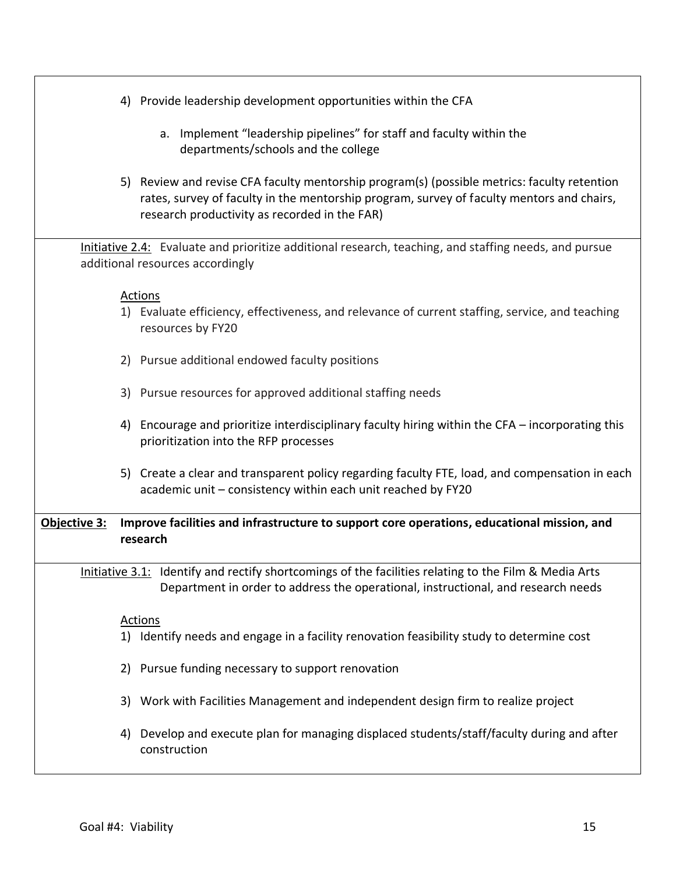| 4) Provide leadership development opportunities within the CFA                                                                                                                                                                            |
|-------------------------------------------------------------------------------------------------------------------------------------------------------------------------------------------------------------------------------------------|
| a. Implement "leadership pipelines" for staff and faculty within the<br>departments/schools and the college                                                                                                                               |
| 5) Review and revise CFA faculty mentorship program(s) (possible metrics: faculty retention<br>rates, survey of faculty in the mentorship program, survey of faculty mentors and chairs,<br>research productivity as recorded in the FAR) |
| Initiative 2.4: Evaluate and prioritize additional research, teaching, and staffing needs, and pursue<br>additional resources accordingly                                                                                                 |
|                                                                                                                                                                                                                                           |
| Actions<br>1) Evaluate efficiency, effectiveness, and relevance of current staffing, service, and teaching<br>resources by FY20                                                                                                           |
| 2) Pursue additional endowed faculty positions                                                                                                                                                                                            |
| 3) Pursue resources for approved additional staffing needs                                                                                                                                                                                |
| 4) Encourage and prioritize interdisciplinary faculty hiring within the CFA - incorporating this<br>prioritization into the RFP processes                                                                                                 |
| 5) Create a clear and transparent policy regarding faculty FTE, load, and compensation in each<br>academic unit - consistency within each unit reached by FY20                                                                            |
| Objective 3:<br>Improve facilities and infrastructure to support core operations, educational mission, and<br>research                                                                                                                    |
| Initiative 3.1: Identify and rectify shortcomings of the facilities relating to the Film & Media Arts<br>Department in order to address the operational, instructional, and research needs                                                |
| <b>Actions</b>                                                                                                                                                                                                                            |
| 1) Identify needs and engage in a facility renovation feasibility study to determine cost                                                                                                                                                 |
| 2) Pursue funding necessary to support renovation                                                                                                                                                                                         |
| 3) Work with Facilities Management and independent design firm to realize project                                                                                                                                                         |
| Develop and execute plan for managing displaced students/staff/faculty during and after<br>4)<br>construction                                                                                                                             |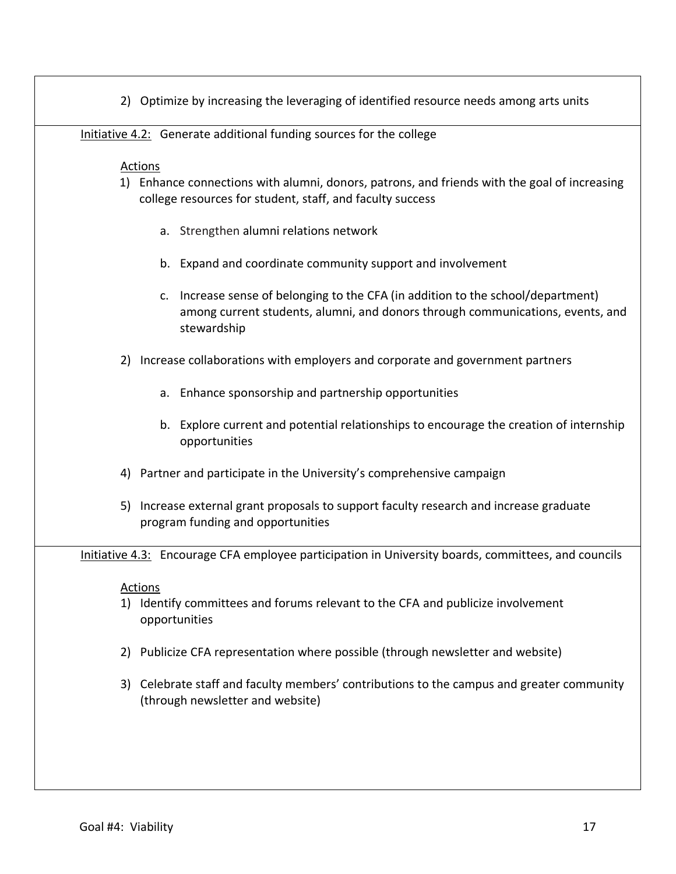|  | 2) Optimize by increasing the leveraging of identified resource needs among arts units |  |  |  |
|--|----------------------------------------------------------------------------------------|--|--|--|
|  |                                                                                        |  |  |  |
|  |                                                                                        |  |  |  |

Initiative 4.2: Generate additional funding sources for the college

### Actions

- 1) Enhance connections with alumni, donors, patrons, and friends with the goal of increasing college resources for student, staff, and faculty success
	- a. Strengthen alumni relations network
	- b. Expand and coordinate community support and involvement
	- c. Increase sense of belonging to the CFA (in addition to the school/department) among current students, alumni, and donors through communications, events, and stewardship
- 2) Increase collaborations with employers and corporate and government partners
	- a. Enhance sponsorship and partnership opportunities
	- b. Explore current and potential relationships to encourage the creation of internship opportunities
- 4) Partner and participate in the University's comprehensive campaign
- 5) Increase external grant proposals to support faculty research and increase graduate program funding and opportunities

Initiative 4.3: Encourage CFA employee participation in University boards, committees, and councils

- 1) Identify committees and forums relevant to the CFA and publicize involvement opportunities
- 2) Publicize CFA representation where possible (through newsletter and website)
- 3) Celebrate staff and faculty members' contributions to the campus and greater community (through newsletter and website)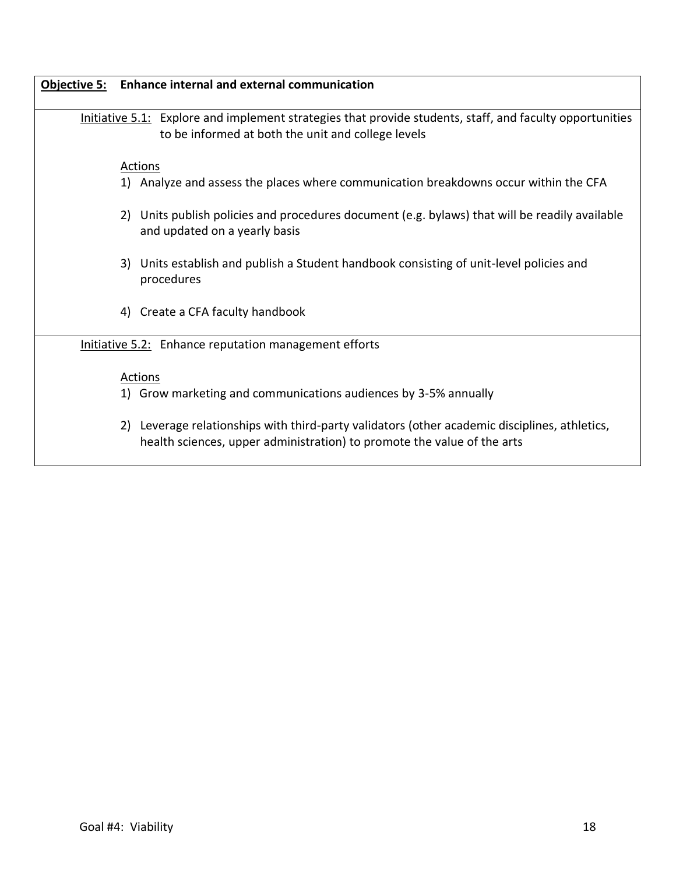| Objective 5: Enhance internal and external communication                                                                                                                 |
|--------------------------------------------------------------------------------------------------------------------------------------------------------------------------|
| Initiative $5.1$ : Explore and implement strategies that provide students, staff, and faculty opportunities<br>to be informed at both the unit and college levels        |
| Actions                                                                                                                                                                  |
| 1) Analyze and assess the places where communication breakdowns occur within the CFA                                                                                     |
| 2) Units publish policies and procedures document (e.g. bylaws) that will be readily available<br>and updated on a yearly basis                                          |
| 3) Units establish and publish a Student handbook consisting of unit-level policies and<br>procedures                                                                    |
| 4) Create a CFA faculty handbook                                                                                                                                         |
| Initiative 5.2: Enhance reputation management efforts                                                                                                                    |
| Actions                                                                                                                                                                  |
| 1) Grow marketing and communications audiences by 3-5% annually                                                                                                          |
| 2) Leverage relationships with third-party validators (other academic disciplines, athletics,<br>health sciences, upper administration) to promote the value of the arts |